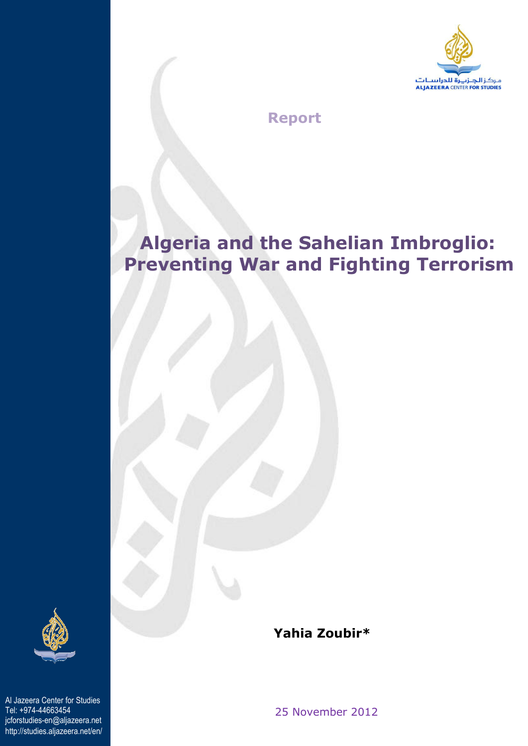

 **Report** 

# **Algeria and the Sahelian Imbroglio: Preventing War and Fighting Terrorism**



Al Jazeera Center for Studies Tel: +974-44663454 jcforstudies-en@aljazeera.net http://studies.aljazeera.net/en/  **Yahia Zoubir\***

25 November 2012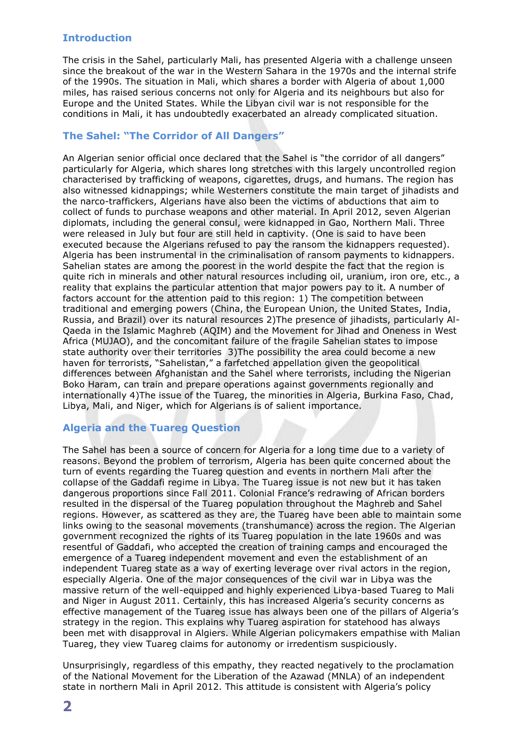#### **Introduction**

The crisis in the Sahel, particularly Mali, has presented Algeria with a challenge unseen since the breakout of the war in the Western Sahara in the 1970s and the internal strife of the 1990s. The situation in Mali, which shares a border with Algeria of about 1,000 miles, has raised serious concerns not only for Algeria and its neighbours but also for Europe and the United States. While the Libyan civil war is not responsible for the conditions in Mali, it has undoubtedly exacerbated an already complicated situation.

#### **The Sahel: "The Corridor of All Dangers"**

An Algerian senior official once declared that the Sahel is "the corridor of all dangers" particularly for Algeria, which shares long stretches with this largely uncontrolled region characterised by trafficking of weapons, cigarettes, drugs, and humans. The region has also witnessed kidnappings; while Westerners constitute the main target of jihadists and the narco-traffickers, Algerians have also been the victims of abductions that aim to collect of funds to purchase weapons and other material. In April 2012, seven Algerian diplomats, including the general consul, were kidnapped in Gao, Northern Mali. Three were released in July but four are still held in captivity. (One is said to have been executed because the Algerians refused to pay the ransom the kidnappers requested). Algeria has been instrumental in the criminalisation of ransom payments to kidnappers. Sahelian states are among the poorest in the world despite the fact that the region is quite rich in minerals and other natural resources including oil, uranium, iron ore, etc., a reality that explains the particular attention that major powers pay to it. A number of factors account for the attention paid to this region: 1) The competition between traditional and emerging powers (China, the European Union, the United States, India, Russia, and Brazil) over its natural resources 2)The presence of jihadists, particularly Al-Qaeda in the Islamic Maghreb (AQIM) and the Movement for Jihad and Oneness in West Africa (MUJAO), and the concomitant failure of the fragile Sahelian states to impose state authority over their territories 3)The possibility the area could become a new haven for terrorists, "Sahelistan," a farfetched appellation given the geopolitical differences between Afghanistan and the Sahel where terrorists, including the Nigerian Boko Haram, can train and prepare operations against governments regionally and internationally 4)The issue of the Tuareg, the minorities in Algeria, Burkina Faso, Chad, Libya, Mali, and Niger, which for Algerians is of salient importance.

## **Algeria and the Tuareg Question**

The Sahel has been a source of concern for Algeria for a long time due to a variety of reasons. Beyond the problem of terrorism, Algeria has been quite concerned about the turn of events regarding the Tuareg question and events in northern Mali after the collapse of the Gaddafi regime in Libya. The Tuareg issue is not new but it has taken dangerous proportions since Fall 2011. Colonial France's redrawing of African borders resulted in the dispersal of the Tuareg population throughout the Maghreb and Sahel regions. However, as scattered as they are, the Tuareg have been able to maintain some links owing to the seasonal movements (transhumance) across the region. The Algerian government recognized the rights of its Tuareg population in the late 1960s and was resentful of Gaddafi, who accepted the creation of training camps and encouraged the emergence of a Tuareg independent movement and even the establishment of an independent Tuareg state as a way of exerting leverage over rival actors in the region, especially Algeria. One of the major consequences of the civil war in Libya was the massive return of the well-equipped and highly experienced Libya-based Tuareg to Mali and Niger in August 2011. Certainly, this has increased Algeria's security concerns as effective management of the Tuareg issue has always been one of the pillars of Algeria's strategy in the region. This explains why Tuareg aspiration for statehood has always been met with disapproval in Algiers. While Algerian policymakers empathise with Malian Tuareg, they view Tuareg claims for autonomy or irredentism suspiciously.

Unsurprisingly, regardless of this empathy, they reacted negatively to the proclamation of the National Movement for the Liberation of the Azawad (MNLA) of an independent state in northern Mali in April 2012. This attitude is consistent with Algeria's policy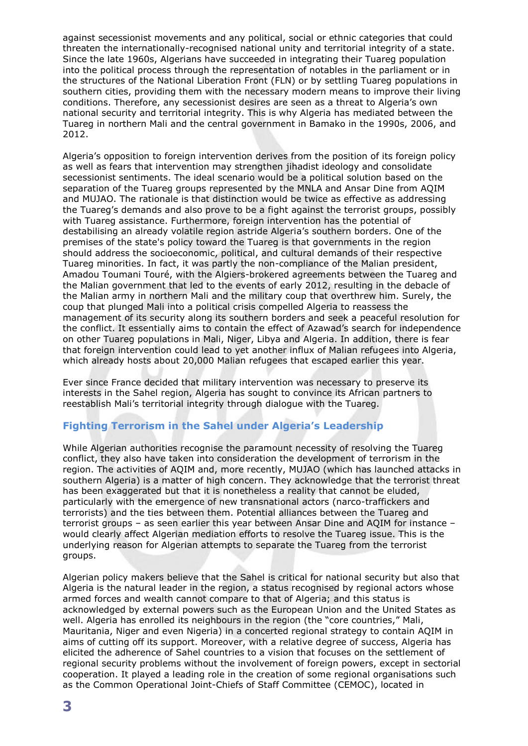against secessionist movements and any political, social or ethnic categories that could threaten the internationally-recognised national unity and territorial integrity of a state. Since the late 1960s, Algerians have succeeded in integrating their Tuareg population into the political process through the representation of notables in the parliament or in the structures of the National Liberation Front (FLN) or by settling Tuareg populations in southern cities, providing them with the necessary modern means to improve their living conditions. Therefore, any secessionist desires are seen as a threat to Algeria's own national security and territorial integrity. This is why Algeria has mediated between the Tuareg in northern Mali and the central government in Bamako in the 1990s, 2006, and 2012.

Algeria's opposition to foreign intervention derives from the position of its foreign policy as well as fears that intervention may strengthen jihadist ideology and consolidate secessionist sentiments. The ideal scenario would be a political solution based on the separation of the Tuareg groups represented by the MNLA and Ansar Dine from AQIM and MUJAO. The rationale is that distinction would be twice as effective as addressing the Tuareg's demands and also prove to be a fight against the terrorist groups, possibly with Tuareg assistance. Furthermore, foreign intervention has the potential of destabilising an already volatile region astride Algeria's southern borders. One of the premises of the state's policy toward the Tuareg is that governments in the region should address the socioeconomic, political, and cultural demands of their respective Tuareg minorities. In fact, it was partly the non-compliance of the Malian president, Amadou Toumani Touré, with the Algiers-brokered agreements between the Tuareg and the Malian government that led to the events of early 2012, resulting in the debacle of the Malian army in northern Mali and the military coup that overthrew him. Surely, the coup that plunged Mali into a political crisis compelled Algeria to reassess the management of its security along its southern borders and seek a peaceful resolution for the conflict. It essentially aims to contain the effect of Azawad's search for independence on other Tuareg populations in Mali, Niger, Libya and Algeria. In addition, there is fear that foreign intervention could lead to yet another influx of Malian refugees into Algeria, which already hosts about 20,000 Malian refugees that escaped earlier this year.

Ever since France decided that military intervention was necessary to preserve its interests in the Sahel region, Algeria has sought to convince its African partners to reestablish Mali's territorial integrity through dialogue with the Tuareg.

## **Fighting Terrorism in the Sahel under Algeria's Leadership**

While Algerian authorities recognise the paramount necessity of resolving the Tuareg conflict, they also have taken into consideration the development of terrorism in the region. The activities of AQIM and, more recently, MUJAO (which has launched attacks in southern Algeria) is a matter of high concern. They acknowledge that the terrorist threat has been exaggerated but that it is nonetheless a reality that cannot be eluded, particularly with the emergence of new transnational actors (narco-traffickers and terrorists) and the ties between them. Potential alliances between the Tuareg and terrorist groups – as seen earlier this year between Ansar Dine and AQIM for instance – would clearly affect Algerian mediation efforts to resolve the Tuareg issue. This is the underlying reason for Algerian attempts to separate the Tuareg from the terrorist groups.

Algerian policy makers believe that the Sahel is critical for national security but also that Algeria is the natural leader in the region, a status recognised by regional actors whose armed forces and wealth cannot compare to that of Algeria; and this status is acknowledged by external powers such as the European Union and the United States as well. Algeria has enrolled its neighbours in the region (the "core countries," Mali, Mauritania, Niger and even Nigeria) in a concerted regional strategy to contain AQIM in aims of cutting off its support. Moreover, with a relative degree of success, Algeria has elicited the adherence of Sahel countries to a vision that focuses on the settlement of regional security problems without the involvement of foreign powers, except in sectorial cooperation. It played a leading role in the creation of some regional organisations such as the Common Operational Joint-Chiefs of Staff Committee (CEMOC), located in